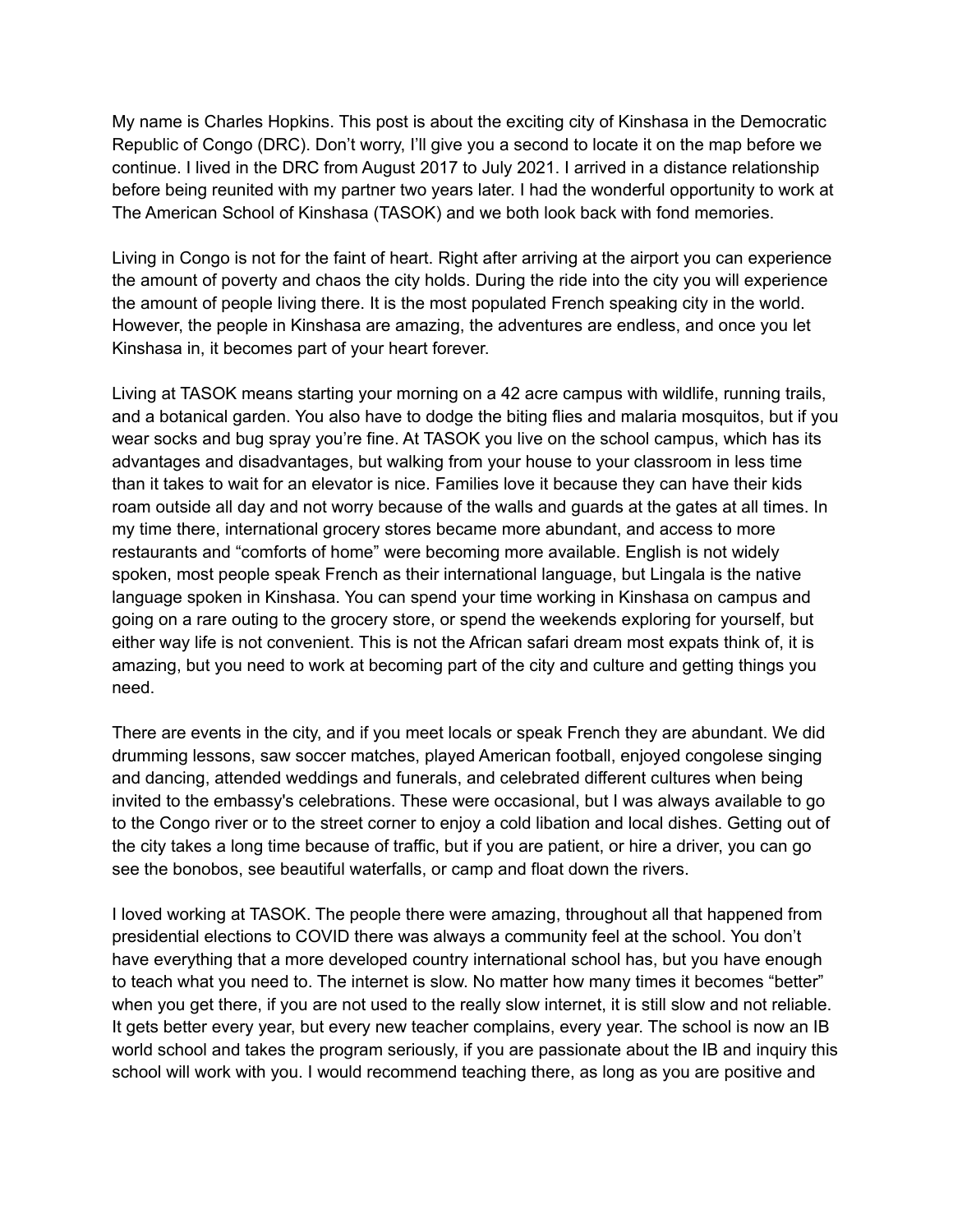My name is Charles Hopkins. This post is about the exciting city of Kinshasa in the Democratic Republic of Congo (DRC). Don't worry, I'll give you a second to locate it on the map before we continue. I lived in the DRC from August 2017 to July 2021. I arrived in a distance relationship before being reunited with my partner two years later. I had the wonderful opportunity to work at The American School of Kinshasa (TASOK) and we both look back with fond memories.

Living in Congo is not for the faint of heart. Right after arriving at the airport you can experience the amount of poverty and chaos the city holds. During the ride into the city you will experience the amount of people living there. It is the most populated French speaking city in the world. However, the people in Kinshasa are amazing, the adventures are endless, and once you let Kinshasa in, it becomes part of your heart forever.

Living at TASOK means starting your morning on a 42 acre campus with wildlife, running trails, and a botanical garden. You also have to dodge the biting flies and malaria mosquitos, but if you wear socks and bug spray you're fine. At TASOK you live on the school campus, which has its advantages and disadvantages, but walking from your house to your classroom in less time than it takes to wait for an elevator is nice. Families love it because they can have their kids roam outside all day and not worry because of the walls and guards at the gates at all times. In my time there, international grocery stores became more abundant, and access to more restaurants and "comforts of home" were becoming more available. English is not widely spoken, most people speak French as their international language, but Lingala is the native language spoken in Kinshasa. You can spend your time working in Kinshasa on campus and going on a rare outing to the grocery store, or spend the weekends exploring for yourself, but either way life is not convenient. This is not the African safari dream most expats think of, it is amazing, but you need to work at becoming part of the city and culture and getting things you need.

There are events in the city, and if you meet locals or speak French they are abundant. We did drumming lessons, saw soccer matches, played American football, enjoyed congolese singing and dancing, attended weddings and funerals, and celebrated different cultures when being invited to the embassy's celebrations. These were occasional, but I was always available to go to the Congo river or to the street corner to enjoy a cold libation and local dishes. Getting out of the city takes a long time because of traffic, but if you are patient, or hire a driver, you can go see the bonobos, see beautiful waterfalls, or camp and float down the rivers.

I loved working at TASOK. The people there were amazing, throughout all that happened from presidential elections to COVID there was always a community feel at the school. You don't have everything that a more developed country international school has, but you have enough to teach what you need to. The internet is slow. No matter how many times it becomes "better" when you get there, if you are not used to the really slow internet, it is still slow and not reliable. It gets better every year, but every new teacher complains, every year. The school is now an IB world school and takes the program seriously, if you are passionate about the IB and inquiry this school will work with you. I would recommend teaching there, as long as you are positive and